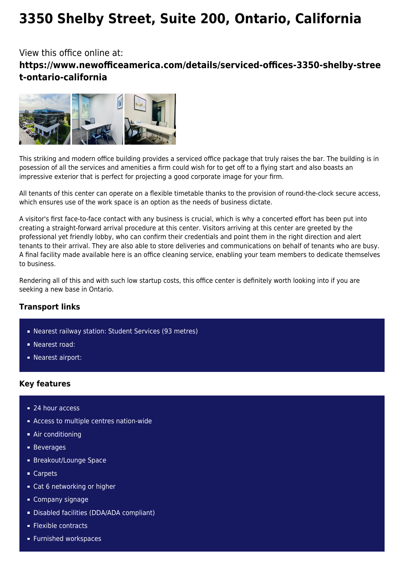# **3350 Shelby Street, Suite 200, Ontario, California**

# View this office online at: **https://www.newofficeamerica.com/details/serviced-offices-3350-shelby-stree t-ontario-california**



This striking and modern office building provides a serviced office package that truly raises the bar. The building is in posession of all the services and amenities a firm could wish for to get off to a flying start and also boasts an impressive exterior that is perfect for projecting a good corporate image for your firm.

All tenants of this center can operate on a flexible timetable thanks to the provision of round-the-clock secure access, which ensures use of the work space is an option as the needs of business dictate.

A visitor's first face-to-face contact with any business is crucial, which is why a concerted effort has been put into creating a straight-forward arrival procedure at this center. Visitors arriving at this center are greeted by the professional yet friendly lobby, who can confirm their credentials and point them in the right direction and alert tenants to their arrival. They are also able to store deliveries and communications on behalf of tenants who are busy. A final facility made available here is an office cleaning service, enabling your team members to dedicate themselves to business.

Rendering all of this and with such low startup costs, this office center is definitely worth looking into if you are seeking a new base in Ontario.

### **Transport links**

- Nearest railway station: Student Services (93 metres)
- **Nearest road:**
- **Nearest airport:**

#### **Key features**

- 24 hour access
- **Access to multiple centres nation-wide**
- Air conditioning
- **Beverages**
- **Breakout/Lounge Space**
- Carpets
- Cat 6 networking or higher
- Company signage
- Disabled facilities (DDA/ADA compliant)
- **Flexible contracts**
- **Furnished workspaces**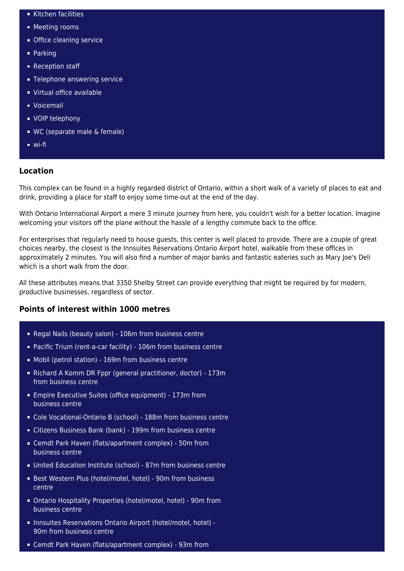- Kitchen facilities
- **Meeting rooms**
- **Office cleaning service**
- Parking
- Reception staff
- **Telephone answering service**
- Virtual office available
- Voicemail
- **vOIP** telephony
- WC (separate male & female)
- wi-fi

#### **Location**

This complex can be found in a highly regarded district of Ontario, within a short walk of a variety of places to eat and drink, providing a place for staff to enjoy some time-out at the end of the day.

With Ontario International Airport a mere 3 minute journey from here, you couldn't wish for a better location. Imagine welcoming your visitors off the plane without the hassle of a lengthy commute back to the office.

For enterprises that regularly need to house guests, this center is well placed to provide. There are a couple of great choices nearby, the closest is the Innsuites Reservations Ontario Airport hotel, walkable from these offices in approximately 2 minutes. You will also find a number of major banks and fantastic eateries such as Mary Joe's Deli which is a short walk from the door.

All these attributes means that 3350 Shelby Street can provide everything that might be required by for modern, productive businesses, regardless of sector.

## **Points of interest within 1000 metres**

- Regal Nails (beauty salon) 106m from business centre
- Pacific Trium (rent-a-car facility) 106m from business centre
- Mobil (petrol station) 169m from business centre
- Richard A Komm DR Fppr (general practitioner, doctor) 173m from business centre
- Empire Executive Suites (office equipment) 173m from business centre
- Cole Vocational-Ontario B (school) 188m from business centre
- Citizens Business Bank (bank) 199m from business centre
- Cemdt Park Haven (flats/apartment complex) 50m from business centre
- United Education Institute (school) 87m from business centre
- Best Western Plus (hotel/motel, hotel) 90m from business centre
- Ontario Hospitality Properties (hotel/motel, hotel) 90m from business centre
- Innsuites Reservations Ontario Airport (hotel/motel, hotel) 90m from business centre
- Cemdt Park Haven (flats/apartment complex) 93m from